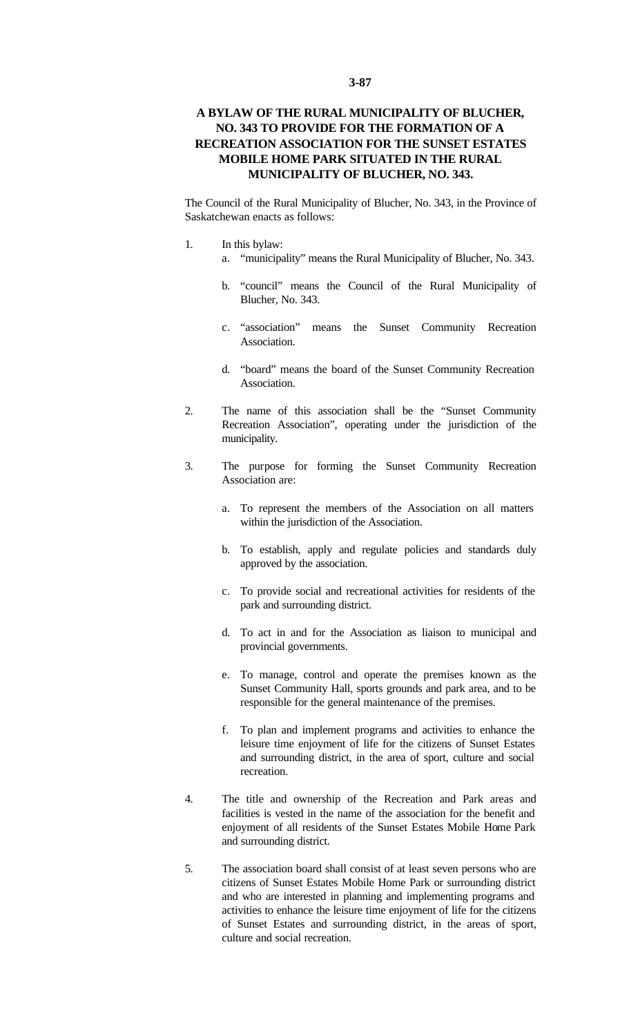## **A BYLAW OF THE RURAL MUNICIPALITY OF BLUCHER, NO. 343 TO PROVIDE FOR THE FORMATION OF A RECREATION ASSOCIATION FOR THE SUNSET ESTATES MOBILE HOME PARK SITUATED IN THE RURAL MUNICIPALITY OF BLUCHER, NO. 343.**

The Council of the Rural Municipality of Blucher, No. 343, in the Province of Saskatchewan enacts as follows:

- 1. In this bylaw:
	- a. "municipality" means the Rural Municipality of Blucher, No. 343.
	- b. "council" means the Council of the Rural Municipality of Blucher, No. 343.
	- c. "association" means the Sunset Community Recreation Association.
	- d. "board" means the board of the Sunset Community Recreation Association.
- 2. The name of this association shall be the "Sunset Community Recreation Association", operating under the jurisdiction of the municipality.
- 3. The purpose for forming the Sunset Community Recreation Association are:
	- a. To represent the members of the Association on all matters within the jurisdiction of the Association.
	- b. To establish, apply and regulate policies and standards duly approved by the association.
	- c. To provide social and recreational activities for residents of the park and surrounding district.
	- d. To act in and for the Association as liaison to municipal and provincial governments.
	- e. To manage, control and operate the premises known as the Sunset Community Hall, sports grounds and park area, and to be responsible for the general maintenance of the premises.
	- f. To plan and implement programs and activities to enhance the leisure time enjoyment of life for the citizens of Sunset Estates and surrounding district, in the area of sport, culture and social recreation.
- 4. The title and ownership of the Recreation and Park areas and facilities is vested in the name of the association for the benefit and enjoyment of all residents of the Sunset Estates Mobile Home Park and surrounding district.
- 5. The association board shall consist of at least seven persons who are citizens of Sunset Estates Mobile Home Park or surrounding district and who are interested in planning and implementing programs and activities to enhance the leisure time enjoyment of life for the citizens of Sunset Estates and surrounding district, in the areas of sport, culture and social recreation.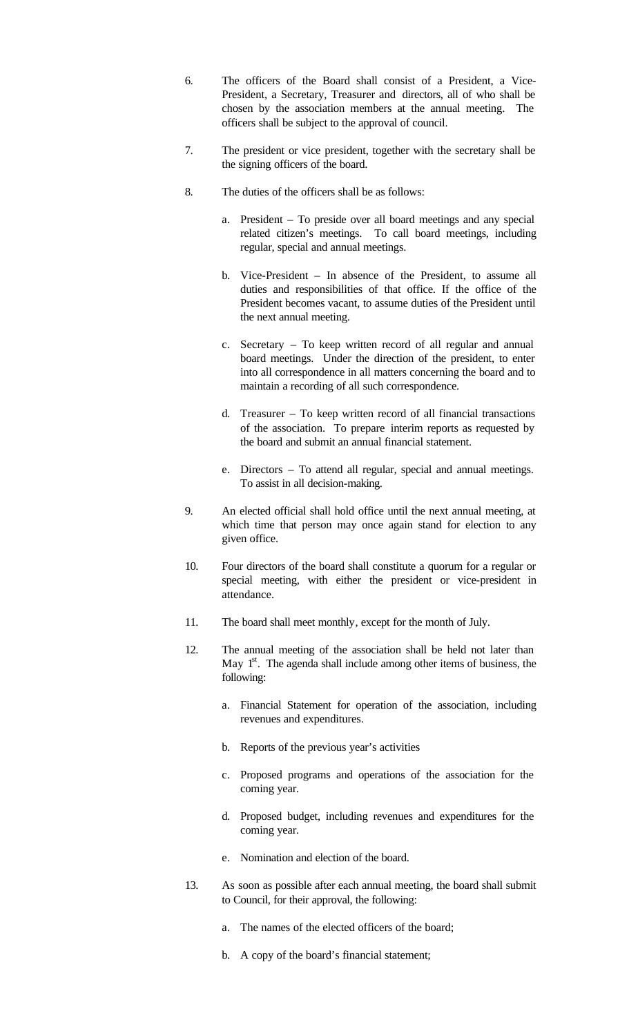- 6. The officers of the Board shall consist of a President, a Vice-President, a Secretary, Treasurer and directors, all of who shall be chosen by the association members at the annual meeting. The officers shall be subject to the approval of council.
- 7. The president or vice president, together with the secretary shall be the signing officers of the board.
- 8. The duties of the officers shall be as follows:
	- a. President To preside over all board meetings and any special related citizen's meetings. To call board meetings, including regular, special and annual meetings.
	- b. Vice-President In absence of the President, to assume all duties and responsibilities of that office. If the office of the President becomes vacant, to assume duties of the President until the next annual meeting.
	- c. Secretary To keep written record of all regular and annual board meetings. Under the direction of the president, to enter into all correspondence in all matters concerning the board and to maintain a recording of all such correspondence.
	- d. Treasurer To keep written record of all financial transactions of the association. To prepare interim reports as requested by the board and submit an annual financial statement.
	- e. Directors To attend all regular, special and annual meetings. To assist in all decision-making.
- 9. An elected official shall hold office until the next annual meeting, at which time that person may once again stand for election to any given office.
- 10. Four directors of the board shall constitute a quorum for a regular or special meeting, with either the president or vice-president in attendance.
- 11. The board shall meet monthly, except for the month of July.
- 12. The annual meeting of the association shall be held not later than May  $1<sup>st</sup>$ . The agenda shall include among other items of business, the following:
	- a. Financial Statement for operation of the association, including revenues and expenditures.
	- b. Reports of the previous year's activities
	- c. Proposed programs and operations of the association for the coming year.
	- d. Proposed budget, including revenues and expenditures for the coming year.
	- e. Nomination and election of the board.
- 13. As soon as possible after each annual meeting, the board shall submit to Council, for their approval, the following:
	- a. The names of the elected officers of the board;
	- b. A copy of the board's financial statement;